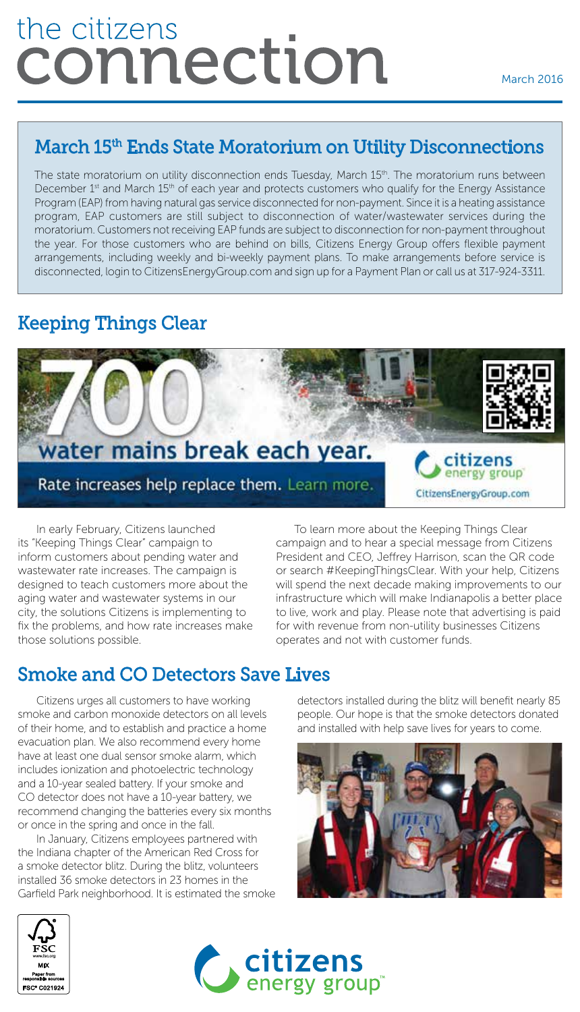# the citizens connection

#### March 15<sup>th</sup> Ends State Moratorium on Utility Disconnections

The state moratorium on utility disconnection ends Tuesday, March 15<sup>th</sup>. The moratorium runs between December 1<sup>st</sup> and March 15<sup>th</sup> of each year and protects customers who qualify for the Energy Assistance Program (EAP) from having natural gas service disconnected for non-payment. Since it is a heating assistance program, EAP customers are still subject to disconnection of water/wastewater services during the moratorium. Customers not receiving EAP funds are subject to disconnection for non-payment throughout the year. For those customers who are behind on bills, Citizens Energy Group offers flexible payment arrangements, including weekly and bi-weekly payment plans. To make arrangements before service is disconnected, login to CitizensEnergyGroup.com and sign up for a Payment Plan or call us at 317-924-3311.

### Keeping Things Clear



In early February, Citizens launched its "Keeping Things Clear" campaign to inform customers about pending water and wastewater rate increases. The campaign is designed to teach customers more about the aging water and wastewater systems in our city, the solutions Citizens is implementing to fix the problems, and how rate increases make those solutions possible.

To learn more about the Keeping Things Clear campaign and to hear a special message from Citizens President and CEO, Jeffrey Harrison, scan the QR code or search #KeepingThingsClear. With your help, Citizens will spend the next decade making improvements to our infrastructure which will make Indianapolis a better place to live, work and play. Please note that advertising is paid for with revenue from non-utility businesses Citizens operates and not with customer funds.

## Smoke and CO Detectors Save Lives

Citizens urges all customers to have working smoke and carbon monoxide detectors on all levels of their home, and to establish and practice a home evacuation plan. We also recommend every home have at least one dual sensor smoke alarm, which includes ionization and photoelectric technology and a 10-year sealed battery. If your smoke and CO detector does not have a 10-year battery, we recommend changing the batteries every six months or once in the spring and once in the fall.

In January, Citizens employees partnered with the Indiana chapter of the American Red Cross for a smoke detector blitz. During the blitz, volunteers installed 36 smoke detectors in 23 homes in the Garfield Park neighborhood. It is estimated the smoke detectors installed during the blitz will benefit nearly 85 people. Our hope is that the smoke detectors donated and installed with help save lives for years to come.